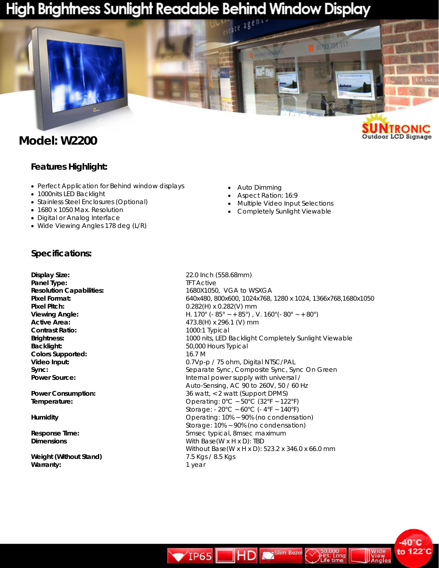# High Brightness Sunlight Readable Behind Window Display



## **Model: W2200**

#### **SUNTRONIC** Outdoor LCD Signage

 $-40^\circ C$ to 122°C

#### **Features Highlight:**

- Perfect Application for Behind window displays
- 1000nits LED Backlight
- Stainless Steel Enclosures (Optional)
- 1680 x 1050 Max. Resolution
- Digital or Analog Interface
- Wide Viewing Angles 178 deg (L/R)
- Auto Dimming
- Aspect Ration: 16:9
- Multiple Video Input Selections
- Completely Sunlight Viewable

#### **Specifications:**

**Panel Type: THE ACTIVE Contrast Ratio:** 1000:1 Typical **Backlight:** 50,000 Hours Typical **Colors Supported:** 16.7 M

**Weight (Without Stand)** 7.5 Kgs / 8.5 Kgs Warranty: **1** year

**Display Size:** 22.0 Inch (558.68mm) **Resolution Capabilities:** 1680X1050, VGA to WSXGA **Pixel Format:** 640x480, 800x600, 1024x768, 1280 x 1024, 1366x768,1680x1050 **Pixel Pitch:** 0.282(H) x 0.282(V) mm **Viewing Angle: H.** 170° (- 85°  $\times$  + 85°), V. 160° (- 80°  $\times$  + 80°) **Active Area: Active Area: Active Area: Active Area: Active Area: Active Area: Active Area: Active Area: Active Area: Active Area: Active Area: Active Area: Active Area: Active Area: Active Area Brightness:** 1000 nits, LED Backlight Completely Sunlight Viewable **Video Input:** 0.7Vp-p / 75 ohm, Digital NTSC/PAL **Sync: Sync: Separate Sync, Composite Sync, Sync On Green Power Source: Internal power supply with universal / Internal power supply with universal** / Auto-Sensing, AC 90 to 260V, 50 / 60 Hz **Power Consumption: Consumption: 36 watt, < 2 watt (Support DPMS) Temperature: CODE 2018 CODE 2018 CODE 2019 CODE 2019 CODE 2019 CODE 30°C**  $\sim$  50°C (32°F ~ 122°F) Storage: - 20°C ~ 60°C (- 4°F ~ 140°F) **Humidity Humidity C CONS CONS CONS CONS CONS CONS CONS CONS CONS CONS CONS CONS CONS CONS CONS CONS CONS CONS CONS CONS CONS CONS CONS CONS CONS CONS CONS CONS** Storage: 10% ~ 90% (no condensation) **Response Time:** 5msec typical, 8msec maximum **Dimensions Dimensions Dimensions With Base(W x H x D): TBD** Without Base(W x H x D): 523.2 x 346.0 x 66.0 mm

**HD** Salim Beze

 $VIP65$ 

000<br>.. Long